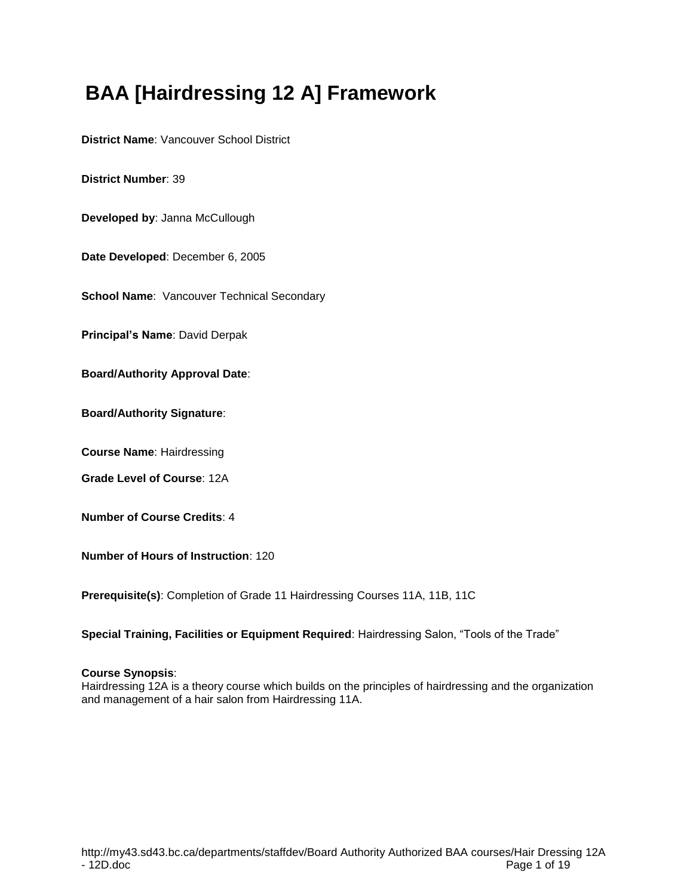# **BAA [Hairdressing 12 A] Framework**

**District Name**: Vancouver School District

**District Number**: 39

**Developed by**: Janna McCullough

**Date Developed**: December 6, 2005

**School Name: Vancouver Technical Secondary** 

**Principal's Name**: David Derpak

**Board/Authority Approval Date**:

**Board/Authority Signature**:

**Course Name**: Hairdressing

**Grade Level of Course**: 12A

**Number of Course Credits**: 4

**Number of Hours of Instruction**: 120

**Prerequisite(s)**: Completion of Grade 11 Hairdressing Courses 11A, 11B, 11C

**Special Training, Facilities or Equipment Required**: Hairdressing Salon, "Tools of the Trade"

#### **Course Synopsis**:

Hairdressing 12A is a theory course which builds on the principles of hairdressing and the organization and management of a hair salon from Hairdressing 11A.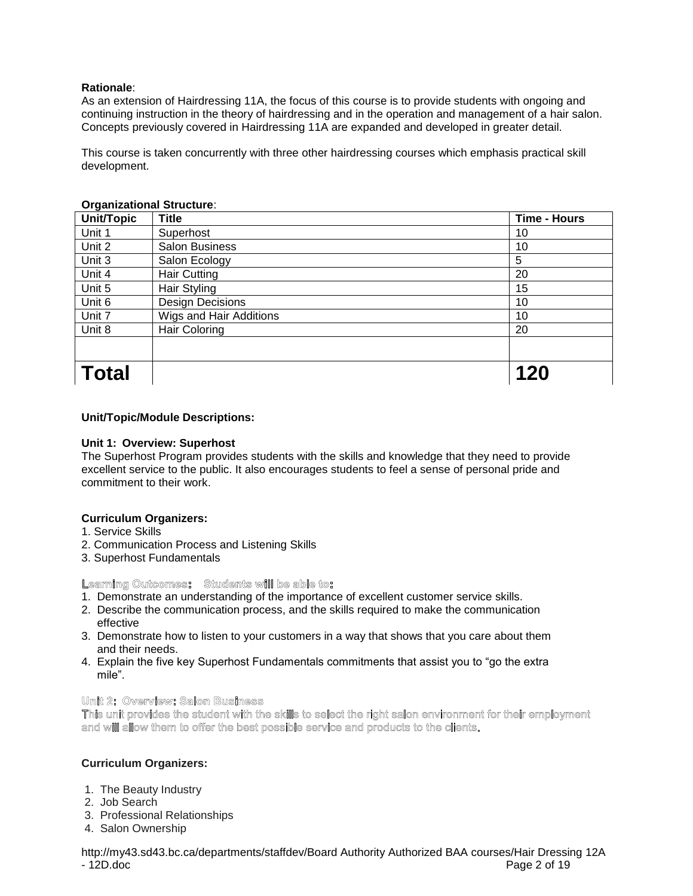As an extension of Hairdressing 11A, the focus of this course is to provide students with ongoing and continuing instruction in the theory of hairdressing and in the operation and management of a hair salon. Concepts previously covered in Hairdressing 11A are expanded and developed in greater detail.

This course is taken concurrently with three other hairdressing courses which emphasis practical skill development.

| Unit/Topic   | <b>Title</b>            | <b>Time - Hours</b> |
|--------------|-------------------------|---------------------|
| Unit 1       | Superhost               | 10                  |
| Unit 2       | <b>Salon Business</b>   | 10                  |
| Unit 3       | Salon Ecology           | 5                   |
| Unit 4       | <b>Hair Cutting</b>     | 20                  |
| Unit 5       | Hair Styling            | 15                  |
| Unit 6       | <b>Design Decisions</b> | 10                  |
| Unit 7       | Wigs and Hair Additions | 10                  |
| Unit 8       | <b>Hair Coloring</b>    | 20                  |
|              |                         |                     |
| <b>Total</b> |                         | 120                 |

#### **Organizational Structure**:

## **Unit/Topic/Module Descriptions:**

## **Unit 1: Overview: Superhost**

The Superhost Program provides students with the skills and knowledge that they need to provide excellent service to the public. It also encourages students to feel a sense of personal pride and commitment to their work.

#### **Curriculum Organizers:**

- 1. Service Skills
- 2. Communication Process and Listening Skills
- 3. Superhost Fundamentals

#### Learning Outcomes: Students will be able to:

- 1. Demonstrate an understanding of the importance of excellent customer service skills.
- 2. Describe the communication process, and the skills required to make the communication effective
- 3. Demonstrate how to listen to your customers in a way that shows that you care about them and their needs.
- 4. Explain the five key Superhost Fundamentals commitments that assist you to "go the extra mile".

## Unit 2: Overview: Salon Business

This unit provides the student with the skills to select the right salon environment for their employment and will allow them to offer the best possible service and products to the clients.

#### **Curriculum Organizers:**

- 1. The Beauty Industry
- 2. Job Search
- 3. Professional Relationships
- 4. Salon Ownership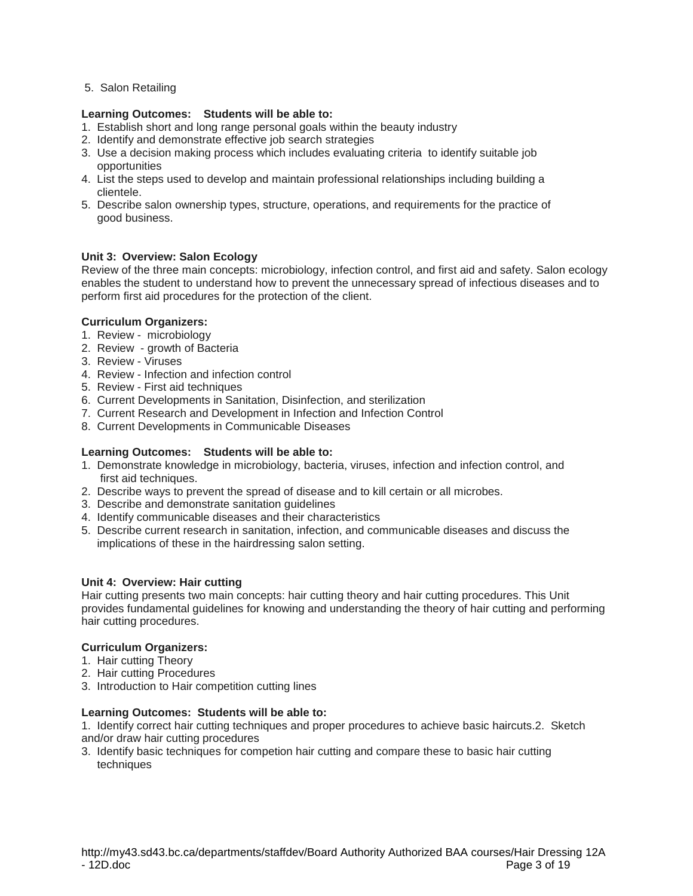5. Salon Retailing

## **Learning Outcomes: Students will be able to:**

- 1. Establish short and long range personal goals within the beauty industry
- 2. Identify and demonstrate effective job search strategies
- 3. Use a decision making process which includes evaluating criteria to identify suitable job opportunities
- 4. List the steps used to develop and maintain professional relationships including building a clientele.
- 5. Describe salon ownership types, structure, operations, and requirements for the practice of good business.

## **Unit 3: Overview: Salon Ecology**

Review of the three main concepts: microbiology, infection control, and first aid and safety. Salon ecology enables the student to understand how to prevent the unnecessary spread of infectious diseases and to perform first aid procedures for the protection of the client.

#### **Curriculum Organizers:**

- 1. Review microbiology
- 2. Review growth of Bacteria
- 3. Review Viruses
- 4. Review Infection and infection control
- 5. Review First aid techniques
- 6. Current Developments in Sanitation, Disinfection, and sterilization
- 7. Current Research and Development in Infection and Infection Control
- 8. Current Developments in Communicable Diseases

## **Learning Outcomes: Students will be able to:**

- 1. Demonstrate knowledge in microbiology, bacteria, viruses, infection and infection control, and first aid techniques.
- 2. Describe ways to prevent the spread of disease and to kill certain or all microbes.
- 3. Describe and demonstrate sanitation guidelines
- 4. Identify communicable diseases and their characteristics
- 5. Describe current research in sanitation, infection, and communicable diseases and discuss the implications of these in the hairdressing salon setting.

#### **Unit 4: Overview: Hair cutting**

Hair cutting presents two main concepts: hair cutting theory and hair cutting procedures. This Unit provides fundamental guidelines for knowing and understanding the theory of hair cutting and performing hair cutting procedures.

## **Curriculum Organizers:**

- 1. Hair cutting Theory
- 2. Hair cutting Procedures
- 3. Introduction to Hair competition cutting lines

#### **Learning Outcomes: Students will be able to:**

1. Identify correct hair cutting techniques and proper procedures to achieve basic haircuts.2. Sketch and/or draw hair cutting procedures

3. Identify basic techniques for competion hair cutting and compare these to basic hair cutting techniques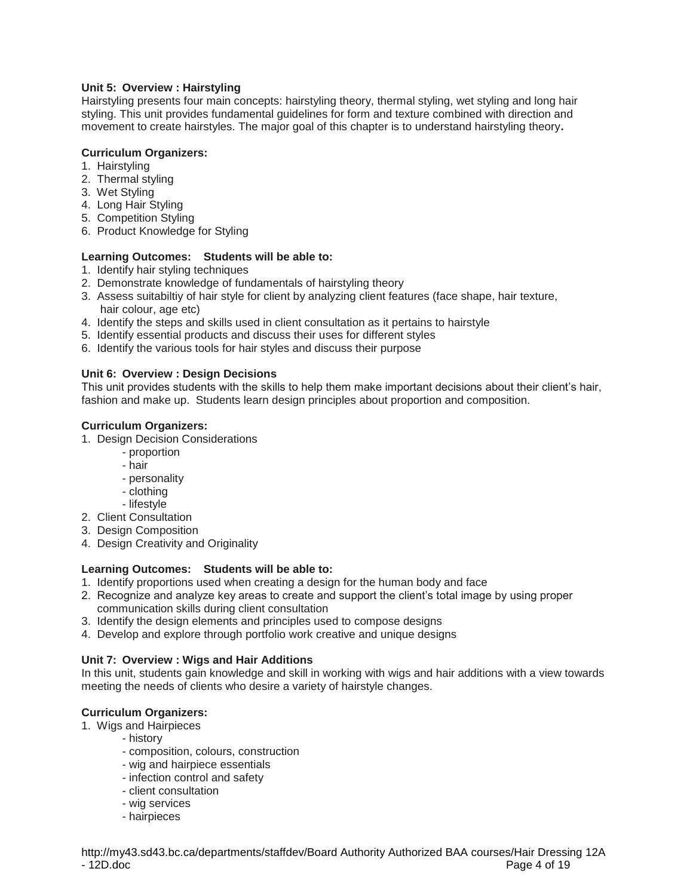# **Unit 5: Overview : Hairstyling**

Hairstyling presents four main concepts: hairstyling theory, thermal styling, wet styling and long hair styling. This unit provides fundamental guidelines for form and texture combined with direction and movement to create hairstyles. The major goal of this chapter is to understand hairstyling theory**.**

## **Curriculum Organizers:**

- 1. Hairstyling
- 2. Thermal styling
- 3. Wet Styling
- 4. Long Hair Styling
- 5. Competition Styling
- 6. Product Knowledge for Styling

#### **Learning Outcomes: Students will be able to:**

- 1. Identify hair styling techniques
- 2. Demonstrate knowledge of fundamentals of hairstyling theory
- 3. Assess suitabiltiy of hair style for client by analyzing client features (face shape, hair texture, hair colour, age etc)
- 4. Identify the steps and skills used in client consultation as it pertains to hairstyle
- 5. Identify essential products and discuss their uses for different styles
- 6. Identify the various tools for hair styles and discuss their purpose

## **Unit 6: Overview : Design Decisions**

This unit provides students with the skills to help them make important decisions about their client's hair, fashion and make up. Students learn design principles about proportion and composition.

## **Curriculum Organizers:**

- 1. Design Decision Considerations
	- proportion
	- hair
	- personality
	- clothing
	- lifestyle
- 2. Client Consultation
- 3. Design Composition
- 4. Design Creativity and Originality

# **Learning Outcomes: Students will be able to:**

- 1. Identify proportions used when creating a design for the human body and face
- 2. Recognize and analyze key areas to create and support the client's total image by using proper communication skills during client consultation
- 3. Identify the design elements and principles used to compose designs
- 4. Develop and explore through portfolio work creative and unique designs

# **Unit 7: Overview : Wigs and Hair Additions**

In this unit, students gain knowledge and skill in working with wigs and hair additions with a view towards meeting the needs of clients who desire a variety of hairstyle changes.

## **Curriculum Organizers:**

- 1. Wigs and Hairpieces
	- history
		- composition, colours, construction
	- wig and hairpiece essentials
	- infection control and safety
	- client consultation
	- wig services
	- hairpieces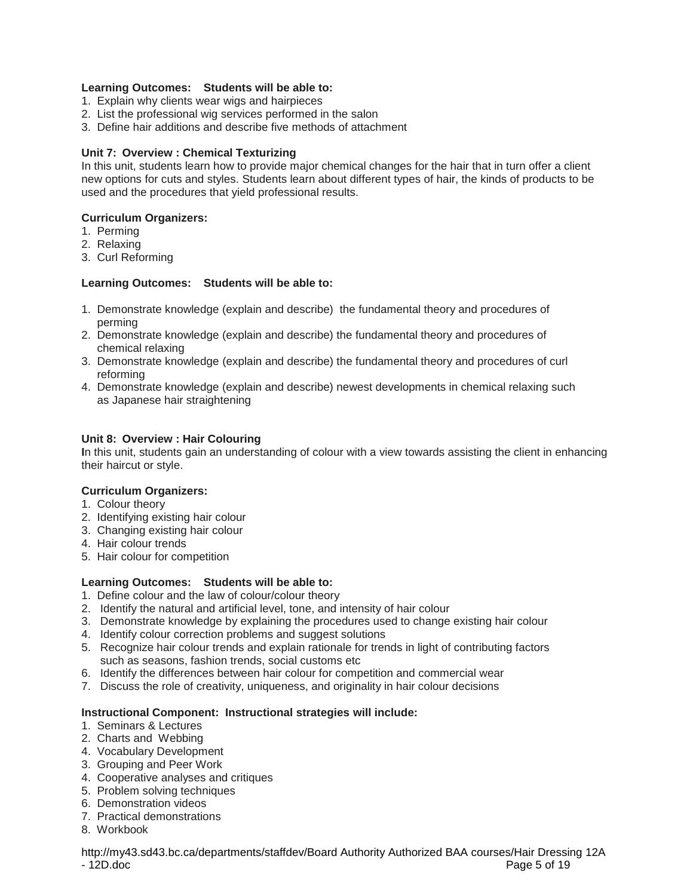## **Learning Outcomes: Students will be able to:**

- 1. Explain why clients wear wigs and hairpieces
- 2. List the professional wig services performed in the salon
- 3. Define hair additions and describe five methods of attachment

## **Unit 7: Overview : Chemical Texturizing**

In this unit, students learn how to provide major chemical changes for the hair that in turn offer a client new options for cuts and styles. Students learn about different types of hair, the kinds of products to be used and the procedures that yield professional results.

## **Curriculum Organizers:**

- 1. Perming
- 2. Relaxing
- 3. Curl Reforming

## **Learning Outcomes: Students will be able to:**

- 1. Demonstrate knowledge (explain and describe) the fundamental theory and procedures of perming
- 2. Demonstrate knowledge (explain and describe) the fundamental theory and procedures of chemical relaxing
- 3. Demonstrate knowledge (explain and describe) the fundamental theory and procedures of curl reforming
- 4. Demonstrate knowledge (explain and describe) newest developments in chemical relaxing such as Japanese hair straightening

## **Unit 8: Overview : Hair Colouring**

**I**n this unit, students gain an understanding of colour with a view towards assisting the client in enhancing their haircut or style.

#### **Curriculum Organizers:**

- 1. Colour theory
- 2. Identifying existing hair colour
- 3. Changing existing hair colour
- 4. Hair colour trends
- 5. Hair colour for competition

# **Learning Outcomes: Students will be able to:**

- 1. Define colour and the law of colour/colour theory
- 2. Identify the natural and artificial level, tone, and intensity of hair colour
- 3. Demonstrate knowledge by explaining the procedures used to change existing hair colour
- 4. Identify colour correction problems and suggest solutions
- 5. Recognize hair colour trends and explain rationale for trends in light of contributing factors such as seasons, fashion trends, social customs etc
- 6. Identify the differences between hair colour for competition and commercial wear
- 7. Discuss the role of creativity, uniqueness, and originality in hair colour decisions

# **Instructional Component: Instructional strategies will include:**

- 1. Seminars & Lectures
- 2. Charts and Webbing
- 4. Vocabulary Development
- 3. Grouping and Peer Work
- 4. Cooperative analyses and critiques
- 5. Problem solving techniques
- 6. Demonstration videos
- 7. Practical demonstrations
- 8. Workbook

http://my43.sd43.bc.ca/departments/staffdev/Board Authority Authorized BAA courses/Hair Dressing 12A Page 5 of 19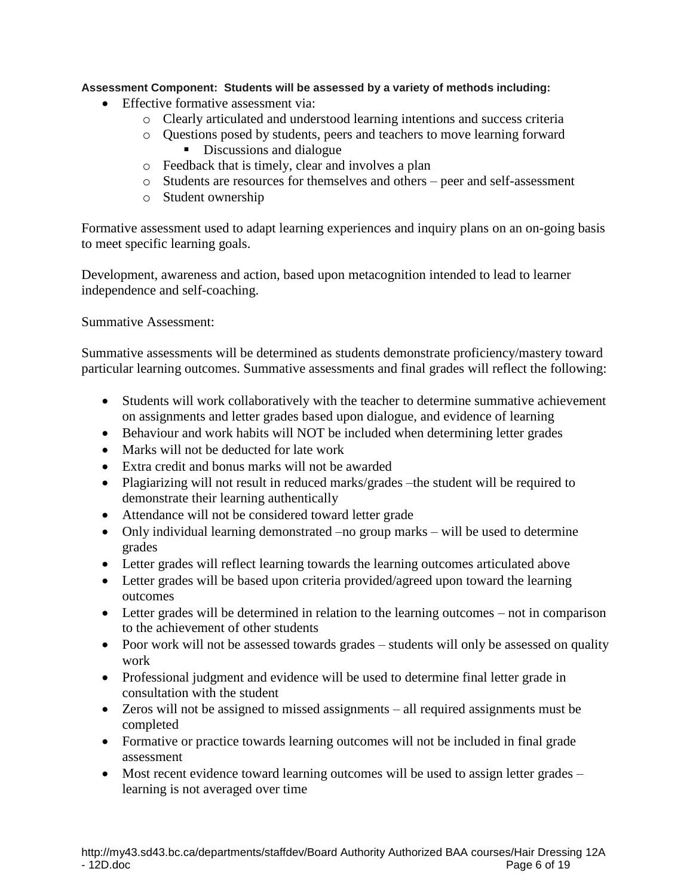# **Assessment Component: Students will be assessed by a variety of methods including:**

- Effective formative assessment via:
	- o Clearly articulated and understood learning intentions and success criteria
	- o Questions posed by students, peers and teachers to move learning forward Discussions and dialogue
	- o Feedback that is timely, clear and involves a plan
	- o Students are resources for themselves and others peer and self-assessment
	- o Student ownership

Formative assessment used to adapt learning experiences and inquiry plans on an on-going basis to meet specific learning goals.

Development, awareness and action, based upon metacognition intended to lead to learner independence and self-coaching.

Summative Assessment:

Summative assessments will be determined as students demonstrate proficiency/mastery toward particular learning outcomes. Summative assessments and final grades will reflect the following:

- Students will work collaboratively with the teacher to determine summative achievement on assignments and letter grades based upon dialogue, and evidence of learning
- Behaviour and work habits will NOT be included when determining letter grades
- Marks will not be deducted for late work
- Extra credit and bonus marks will not be awarded
- Plagiarizing will not result in reduced marks/grades –the student will be required to demonstrate their learning authentically
- Attendance will not be considered toward letter grade
- Only individual learning demonstrated –no group marks will be used to determine grades
- Letter grades will reflect learning towards the learning outcomes articulated above
- Letter grades will be based upon criteria provided/agreed upon toward the learning outcomes
- Letter grades will be determined in relation to the learning outcomes not in comparison to the achievement of other students
- Poor work will not be assessed towards grades students will only be assessed on quality work
- Professional judgment and evidence will be used to determine final letter grade in consultation with the student
- Zeros will not be assigned to missed assignments all required assignments must be completed
- Formative or practice towards learning outcomes will not be included in final grade assessment
- Most recent evidence toward learning outcomes will be used to assign letter grades learning is not averaged over time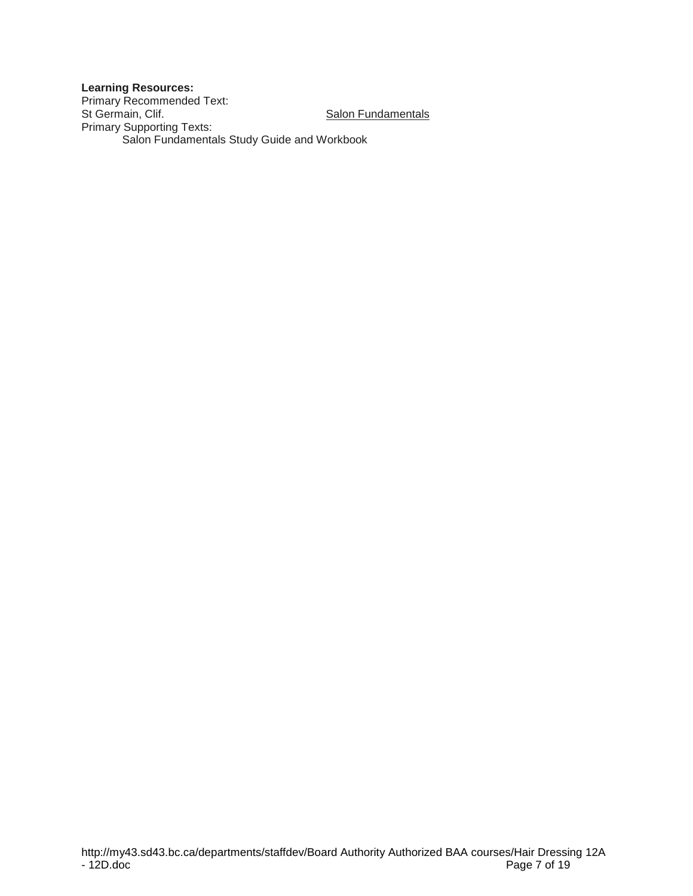# **Learning Resources:**

Primary Recommended Text: St Germain, Clif. Salon Fundamentals Primary Supporting Texts: Salon Fundamentals Study Guide and Workbook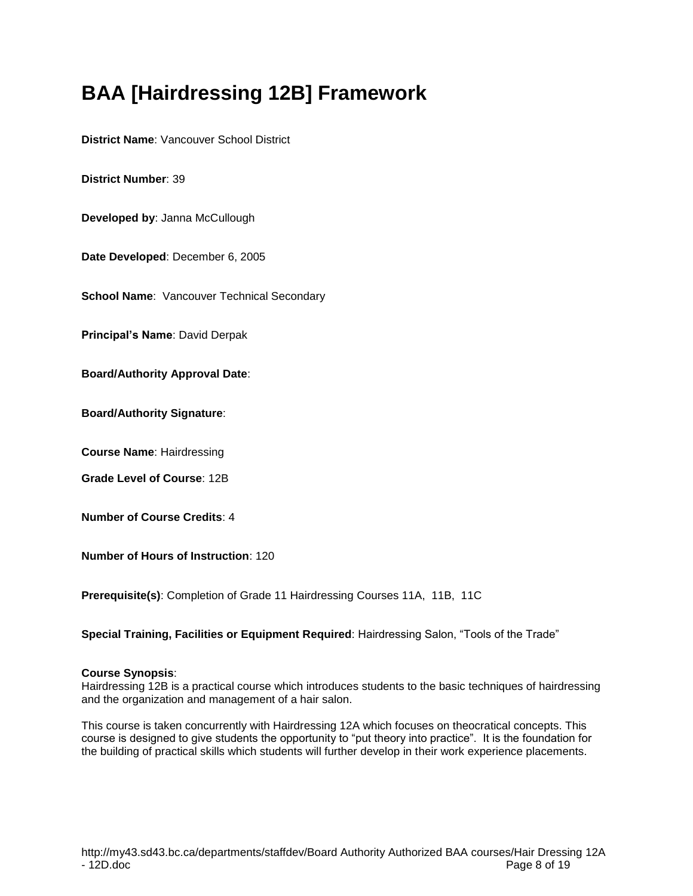# **BAA [Hairdressing 12B] Framework**

**District Name**: Vancouver School District

**District Number**: 39

**Developed by**: Janna McCullough

**Date Developed**: December 6, 2005

**School Name: Vancouver Technical Secondary** 

**Principal's Name**: David Derpak

**Board/Authority Approval Date**:

**Board/Authority Signature**:

**Course Name**: Hairdressing

**Grade Level of Course**: 12B

**Number of Course Credits**: 4

**Number of Hours of Instruction**: 120

**Prerequisite(s)**: Completion of Grade 11 Hairdressing Courses 11A, 11B, 11C

**Special Training, Facilities or Equipment Required**: Hairdressing Salon, "Tools of the Trade"

#### **Course Synopsis**:

Hairdressing 12B is a practical course which introduces students to the basic techniques of hairdressing and the organization and management of a hair salon.

This course is taken concurrently with Hairdressing 12A which focuses on theocratical concepts. This course is designed to give students the opportunity to "put theory into practice". It is the foundation for the building of practical skills which students will further develop in their work experience placements.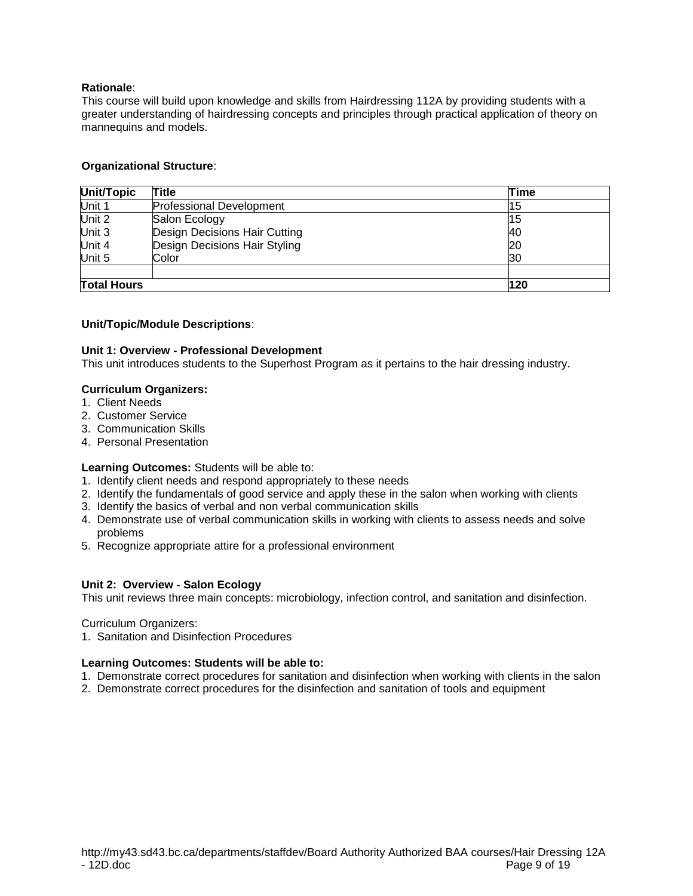This course will build upon knowledge and skills from Hairdressing 112A by providing students with a greater understanding of hairdressing concepts and principles through practical application of theory on mannequins and models.

## **Organizational Structure**:

| Unit/Topic         | Title                           | Time |
|--------------------|---------------------------------|------|
| Unit 1             | <b>Professional Development</b> | 15   |
| Unit 2             | Salon Ecology                   | 15   |
| Unit 3             | Design Decisions Hair Cutting   | 40   |
| Unit 4             | Design Decisions Hair Styling   | 20   |
| Unit 5             | Color                           | 30   |
|                    |                                 |      |
| <b>Total Hours</b> |                                 | 120  |

## **Unit/Topic/Module Descriptions**:

## **Unit 1: Overview - Professional Development**

This unit introduces students to the Superhost Program as it pertains to the hair dressing industry.

## **Curriculum Organizers:**

- 1. Client Needs
- 2. Customer Service
- 3. Communication Skills
- 4. Personal Presentation

#### **Learning Outcomes:** Students will be able to:

- 1. Identify client needs and respond appropriately to these needs
- 2. Identify the fundamentals of good service and apply these in the salon when working with clients
- 3. Identify the basics of verbal and non verbal communication skills
- 4. Demonstrate use of verbal communication skills in working with clients to assess needs and solve problems
- 5. Recognize appropriate attire for a professional environment

#### **Unit 2: Overview - Salon Ecology**

This unit reviews three main concepts: microbiology, infection control, and sanitation and disinfection.

Curriculum Organizers:

1. Sanitation and Disinfection Procedures

#### **Learning Outcomes: Students will be able to:**

- 1. Demonstrate correct procedures for sanitation and disinfection when working with clients in the salon
- 2. Demonstrate correct procedures for the disinfection and sanitation of tools and equipment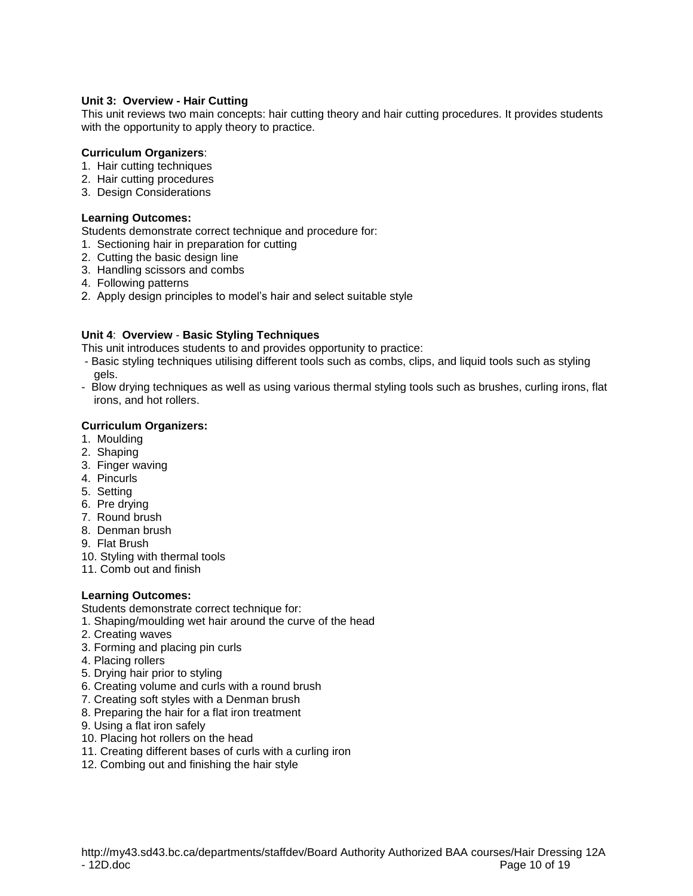## **Unit 3: Overview - Hair Cutting**

This unit reviews two main concepts: hair cutting theory and hair cutting procedures. It provides students with the opportunity to apply theory to practice.

## **Curriculum Organizers**:

- 1. Hair cutting techniques
- 2. Hair cutting procedures
- 3. Design Considerations

## **Learning Outcomes:**

Students demonstrate correct technique and procedure for:

- 1. Sectioning hair in preparation for cutting
- 2. Cutting the basic design line
- 3. Handling scissors and combs
- 4. Following patterns
- 2. Apply design principles to model's hair and select suitable style

# **Unit 4**: **Overview** - **Basic Styling Techniques**

This unit introduces students to and provides opportunity to practice:

- Basic styling techniques utilising different tools such as combs, clips, and liquid tools such as styling gels.
- Blow drying techniques as well as using various thermal styling tools such as brushes, curling irons, flat irons, and hot rollers.

# **Curriculum Organizers:**

- 1. Moulding
- 2. Shaping
- 3. Finger waving
- 4. Pincurls
- 5. Setting
- 6. Pre drying
- 7. Round brush
- 8. Denman brush
- 9. Flat Brush
- 10. Styling with thermal tools
- 11. Comb out and finish

# **Learning Outcomes:**

Students demonstrate correct technique for:

- 1. Shaping/moulding wet hair around the curve of the head
- 2. Creating waves
- 3. Forming and placing pin curls
- 4. Placing rollers
- 5. Drying hair prior to styling
- 6. Creating volume and curls with a round brush
- 7. Creating soft styles with a Denman brush
- 8. Preparing the hair for a flat iron treatment
- 9. Using a flat iron safely
- 10. Placing hot rollers on the head
- 11. Creating different bases of curls with a curling iron
- 12. Combing out and finishing the hair style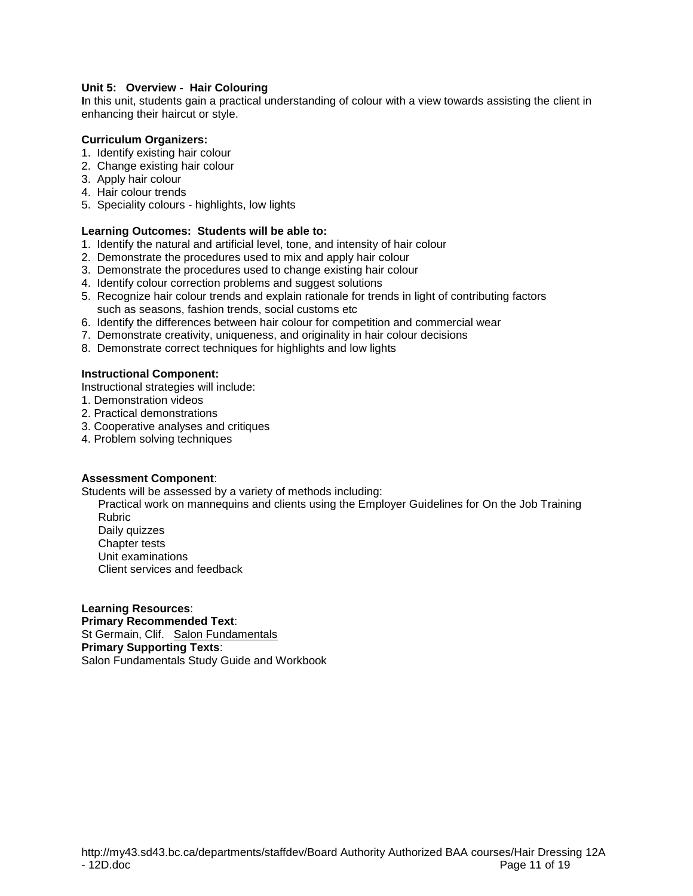## **Unit 5: Overview - Hair Colouring**

**I**n this unit, students gain a practical understanding of colour with a view towards assisting the client in enhancing their haircut or style.

## **Curriculum Organizers:**

- 1. Identify existing hair colour
- 2. Change existing hair colour
- 3. Apply hair colour
- 4. Hair colour trends
- 5. Speciality colours highlights, low lights

## **Learning Outcomes: Students will be able to:**

- 1. Identify the natural and artificial level, tone, and intensity of hair colour
- 2. Demonstrate the procedures used to mix and apply hair colour
- 3. Demonstrate the procedures used to change existing hair colour
- 4. Identify colour correction problems and suggest solutions
- 5. Recognize hair colour trends and explain rationale for trends in light of contributing factors such as seasons, fashion trends, social customs etc
- 6. Identify the differences between hair colour for competition and commercial wear
- 7. Demonstrate creativity, uniqueness, and originality in hair colour decisions
- 8. Demonstrate correct techniques for highlights and low lights

## **Instructional Component:**

Instructional strategies will include:

- 1. Demonstration videos
- 2. Practical demonstrations
- 3. Cooperative analyses and critiques
- 4. Problem solving techniques

#### **Assessment Component**:

Students will be assessed by a variety of methods including:

- Practical work on mannequins and clients using the Employer Guidelines for On the Job Training Rubric Daily quizzes
- Chapter tests
- Unit examinations Client services and feedback

#### **Learning Resources**:

**Primary Recommended Text**: St Germain, Clif. Salon Fundamentals **Primary Supporting Texts**: Salon Fundamentals Study Guide and Workbook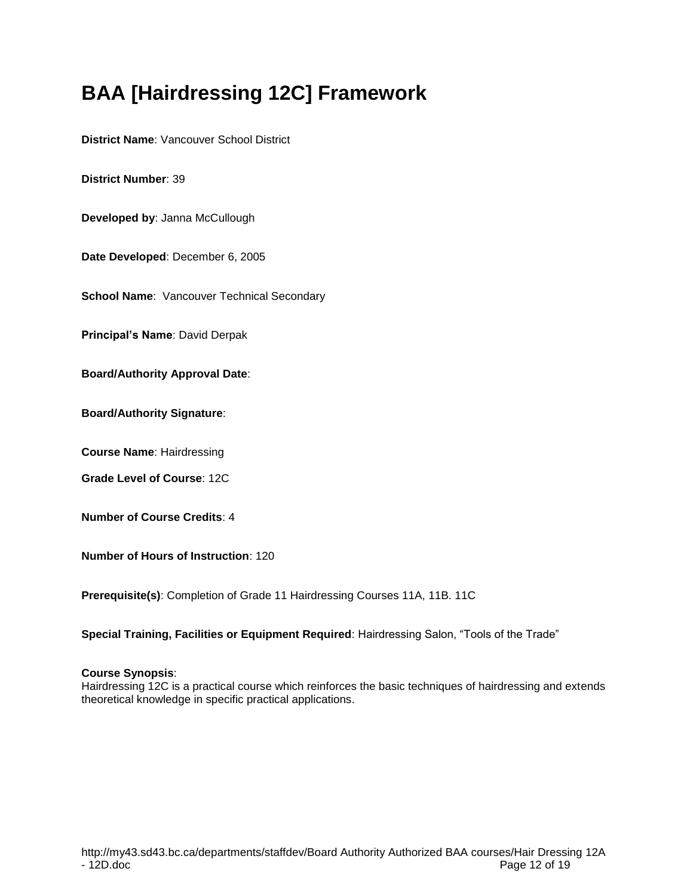# **BAA [Hairdressing 12C] Framework**

**District Name**: Vancouver School District

**District Number**: 39

**Developed by**: Janna McCullough

**Date Developed**: December 6, 2005

**School Name: Vancouver Technical Secondary** 

**Principal's Name**: David Derpak

**Board/Authority Approval Date**:

**Board/Authority Signature**:

**Course Name**: Hairdressing

**Grade Level of Course**: 12C

**Number of Course Credits**: 4

**Number of Hours of Instruction**: 120

**Prerequisite(s)**: Completion of Grade 11 Hairdressing Courses 11A, 11B. 11C

**Special Training, Facilities or Equipment Required**: Hairdressing Salon, "Tools of the Trade"

#### **Course Synopsis**:

Hairdressing 12C is a practical course which reinforces the basic techniques of hairdressing and extends theoretical knowledge in specific practical applications.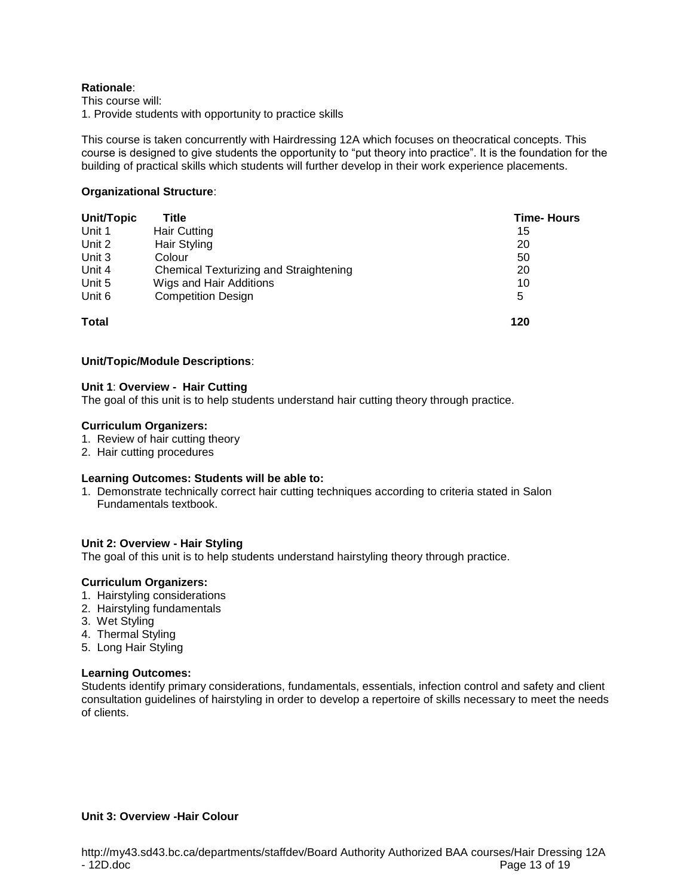This course will:

1. Provide students with opportunity to practice skills

This course is taken concurrently with Hairdressing 12A which focuses on theocratical concepts. This course is designed to give students the opportunity to "put theory into practice". It is the foundation for the building of practical skills which students will further develop in their work experience placements.

## **Organizational Structure**:

| Unit/Topic   | Title                                  | <b>Time-Hours</b> |
|--------------|----------------------------------------|-------------------|
| Unit 1       | <b>Hair Cutting</b>                    | 15                |
| Unit 2       | Hair Styling                           | 20                |
| Unit 3       | Colour                                 | 50                |
| Unit 4       | Chemical Texturizing and Straightening | 20                |
| Unit 5       | Wigs and Hair Additions                | 10                |
| Unit 6       | <b>Competition Design</b>              | 5                 |
| <b>Total</b> |                                        | 120               |

## **Unit/Topic/Module Descriptions**:

#### **Unit 1**: **Overview - Hair Cutting**

The goal of this unit is to help students understand hair cutting theory through practice.

#### **Curriculum Organizers:**

- 1. Review of hair cutting theory
- 2. Hair cutting procedures

#### **Learning Outcomes: Students will be able to:**

1. Demonstrate technically correct hair cutting techniques according to criteria stated in Salon Fundamentals textbook.

#### **Unit 2: Overview - Hair Styling**

The goal of this unit is to help students understand hairstyling theory through practice.

#### **Curriculum Organizers:**

- 1. Hairstyling considerations
- 2. Hairstyling fundamentals
- 3. Wet Styling
- 4. Thermal Styling
- 5. Long Hair Styling

#### **Learning Outcomes:**

Students identify primary considerations, fundamentals, essentials, infection control and safety and client consultation guidelines of hairstyling in order to develop a repertoire of skills necessary to meet the needs of clients.

# **Unit 3: Overview -Hair Colour**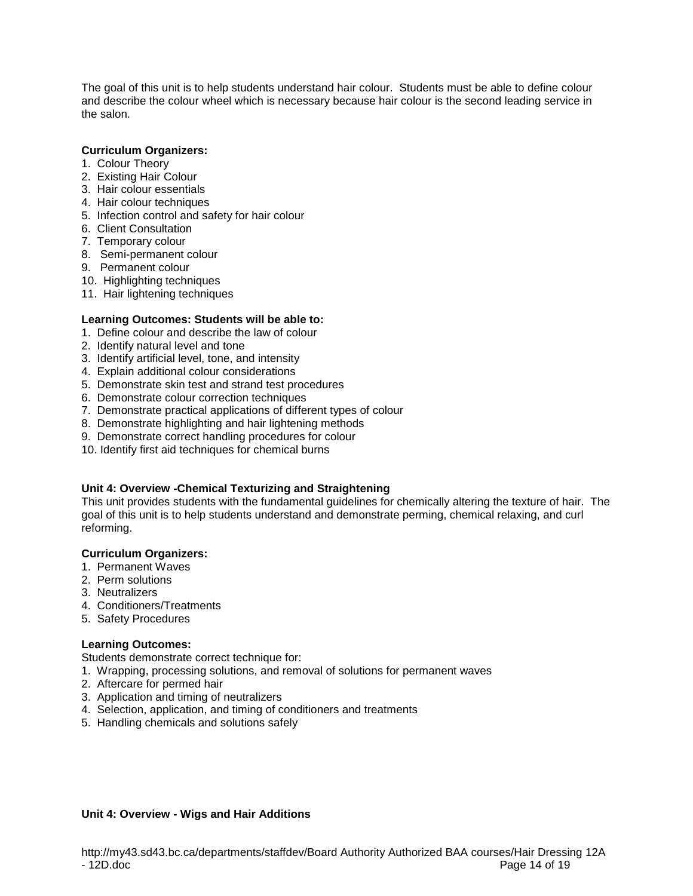The goal of this unit is to help students understand hair colour. Students must be able to define colour and describe the colour wheel which is necessary because hair colour is the second leading service in the salon.

## **Curriculum Organizers:**

- 1. Colour Theory
- 2. Existing Hair Colour
- 3. Hair colour essentials
- 4. Hair colour techniques
- 5. Infection control and safety for hair colour
- 6. Client Consultation
- 7. Temporary colour
- 8. Semi-permanent colour
- 9. Permanent colour
- 10. Highlighting techniques
- 11. Hair lightening techniques

## **Learning Outcomes: Students will be able to:**

- 1. Define colour and describe the law of colour
- 2. Identify natural level and tone
- 3. Identify artificial level, tone, and intensity
- 4. Explain additional colour considerations
- 5. Demonstrate skin test and strand test procedures
- 6. Demonstrate colour correction techniques
- 7. Demonstrate practical applications of different types of colour
- 8. Demonstrate highlighting and hair lightening methods
- 9. Demonstrate correct handling procedures for colour
- 10. Identify first aid techniques for chemical burns

# **Unit 4: Overview -Chemical Texturizing and Straightening**

This unit provides students with the fundamental guidelines for chemically altering the texture of hair. The goal of this unit is to help students understand and demonstrate perming, chemical relaxing, and curl reforming.

#### **Curriculum Organizers:**

- 1. Permanent Waves
- 2. Perm solutions
- 3. Neutralizers
- 4. Conditioners/Treatments
- 5. Safety Procedures

# **Learning Outcomes:**

Students demonstrate correct technique for:

- 1. Wrapping, processing solutions, and removal of solutions for permanent waves
- 2. Aftercare for permed hair
- 3. Application and timing of neutralizers
- 4. Selection, application, and timing of conditioners and treatments
- 5. Handling chemicals and solutions safely

#### **Unit 4: Overview - Wigs and Hair Additions**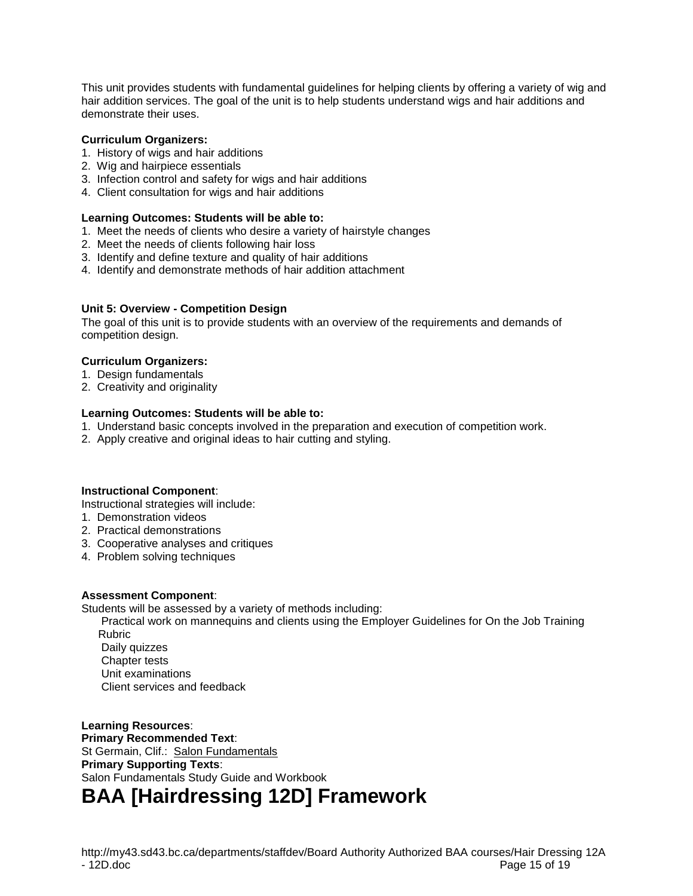This unit provides students with fundamental guidelines for helping clients by offering a variety of wig and hair addition services. The goal of the unit is to help students understand wigs and hair additions and demonstrate their uses.

## **Curriculum Organizers:**

- 1. History of wigs and hair additions
- 2. Wig and hairpiece essentials
- 3. Infection control and safety for wigs and hair additions
- 4. Client consultation for wigs and hair additions

## **Learning Outcomes: Students will be able to:**

- 1. Meet the needs of clients who desire a variety of hairstyle changes
- 2. Meet the needs of clients following hair loss
- 3. Identify and define texture and quality of hair additions
- 4. Identify and demonstrate methods of hair addition attachment

## **Unit 5: Overview - Competition Design**

The goal of this unit is to provide students with an overview of the requirements and demands of competition design.

## **Curriculum Organizers:**

- 1. Design fundamentals
- 2. Creativity and originality

## **Learning Outcomes: Students will be able to:**

- 1. Understand basic concepts involved in the preparation and execution of competition work.
- 2. Apply creative and original ideas to hair cutting and styling.

# **Instructional Component**:

Instructional strategies will include:

- 1. Demonstration videos
- 2. Practical demonstrations
- 3. Cooperative analyses and critiques
- 4. Problem solving techniques

#### **Assessment Component**:

Students will be assessed by a variety of methods including:

Practical work on mannequins and clients using the Employer Guidelines for On the Job Training Rubric Daily quizzes Chapter tests

Unit examinations

Client services and feedback

# **Learning Resources**: **Primary Recommended Text**: St Germain, Clif.: Salon Fundamentals **Primary Supporting Texts**: Salon Fundamentals Study Guide and Workbook **BAA [Hairdressing 12D] Framework**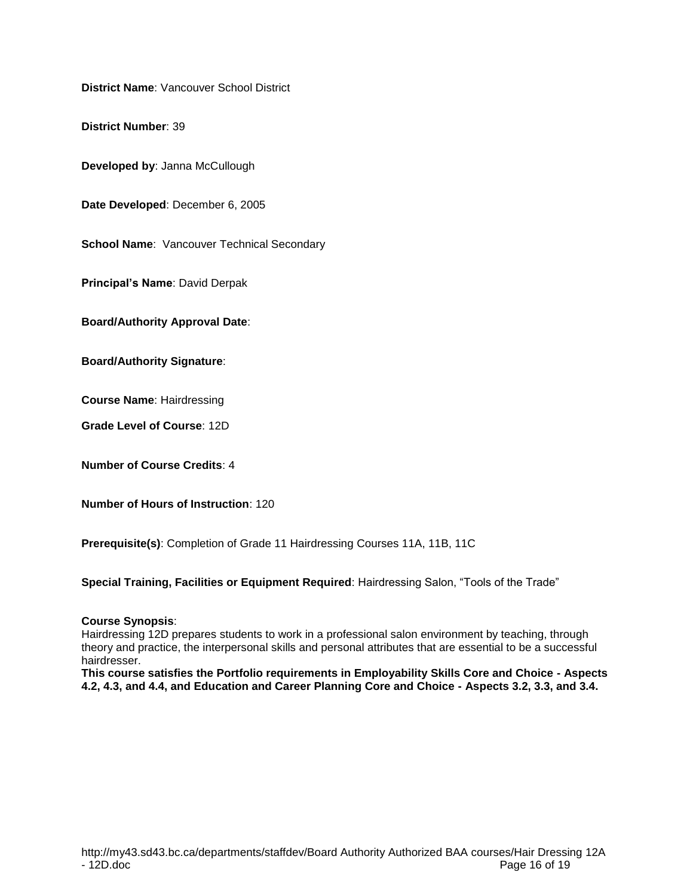**District Name**: Vancouver School District

**District Number**: 39

**Developed by**: Janna McCullough

**Date Developed**: December 6, 2005

**School Name: Vancouver Technical Secondary** 

**Principal's Name**: David Derpak

**Board/Authority Approval Date**:

**Board/Authority Signature**:

**Course Name**: Hairdressing

**Grade Level of Course**: 12D

**Number of Course Credits**: 4

**Number of Hours of Instruction**: 120

**Prerequisite(s)**: Completion of Grade 11 Hairdressing Courses 11A, 11B, 11C

**Special Training, Facilities or Equipment Required**: Hairdressing Salon, "Tools of the Trade"

#### **Course Synopsis**:

Hairdressing 12D prepares students to work in a professional salon environment by teaching, through theory and practice, the interpersonal skills and personal attributes that are essential to be a successful hairdresser.

**This course satisfies the Portfolio requirements in Employability Skills Core and Choice - Aspects 4.2, 4.3, and 4.4, and Education and Career Planning Core and Choice - Aspects 3.2, 3.3, and 3.4.**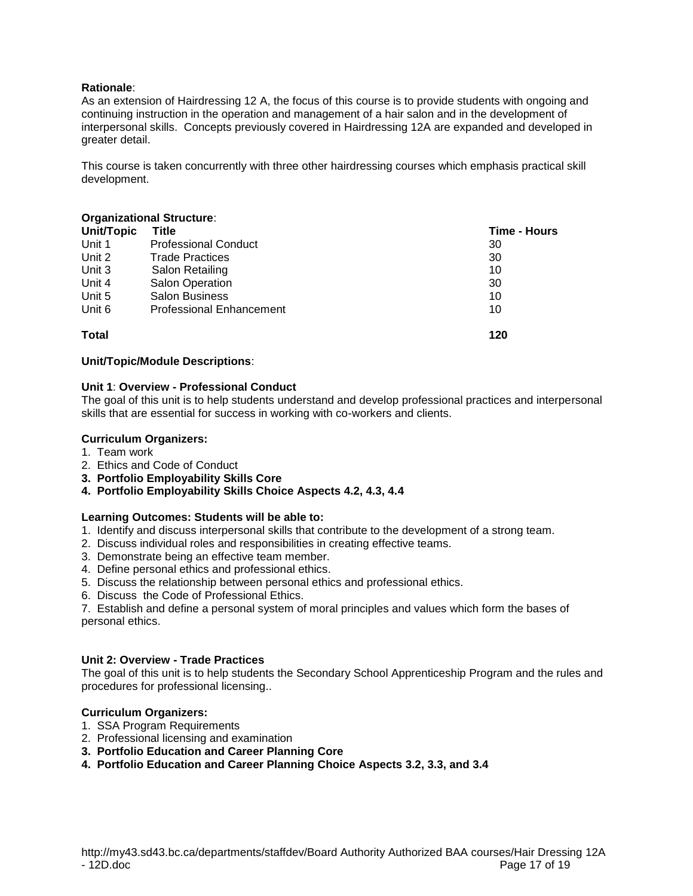As an extension of Hairdressing 12 A, the focus of this course is to provide students with ongoing and continuing instruction in the operation and management of a hair salon and in the development of interpersonal skills. Concepts previously covered in Hairdressing 12A are expanded and developed in greater detail.

This course is taken concurrently with three other hairdressing courses which emphasis practical skill development.

#### **Organizational Structure**:

| <b>Unit/Topic</b> | Title                           | Time - Hours |
|-------------------|---------------------------------|--------------|
| Unit 1            | <b>Professional Conduct</b>     | 30           |
| Unit 2            | <b>Trade Practices</b>          | 30           |
| Unit 3            | Salon Retailing                 | 10           |
| Unit 4            | <b>Salon Operation</b>          | 30           |
| Unit 5            | <b>Salon Business</b>           | 10           |
| Unit 6            | <b>Professional Enhancement</b> | 10           |
| <b>Total</b>      |                                 | 120          |

#### **Unit/Topic/Module Descriptions**:

## **Unit 1**: **Overview - Professional Conduct**

The goal of this unit is to help students understand and develop professional practices and interpersonal skills that are essential for success in working with co-workers and clients.

#### **Curriculum Organizers:**

- 1. Team work
- 2. Ethics and Code of Conduct
- **3. Portfolio Employability Skills Core**
- **4. Portfolio Employability Skills Choice Aspects 4.2, 4.3, 4.4**

#### **Learning Outcomes: Students will be able to:**

- 1. Identify and discuss interpersonal skills that contribute to the development of a strong team.
- 2. Discuss individual roles and responsibilities in creating effective teams.
- 3. Demonstrate being an effective team member.
- 4. Define personal ethics and professional ethics.
- 5. Discuss the relationship between personal ethics and professional ethics.
- 6. Discuss the Code of Professional Ethics.

7. Establish and define a personal system of moral principles and values which form the bases of personal ethics.

#### **Unit 2: Overview - Trade Practices**

The goal of this unit is to help students the Secondary School Apprenticeship Program and the rules and procedures for professional licensing..

#### **Curriculum Organizers:**

- 1. SSA Program Requirements
- 2. Professional licensing and examination
- **3. Portfolio Education and Career Planning Core**
- **4. Portfolio Education and Career Planning Choice Aspects 3.2, 3.3, and 3.4**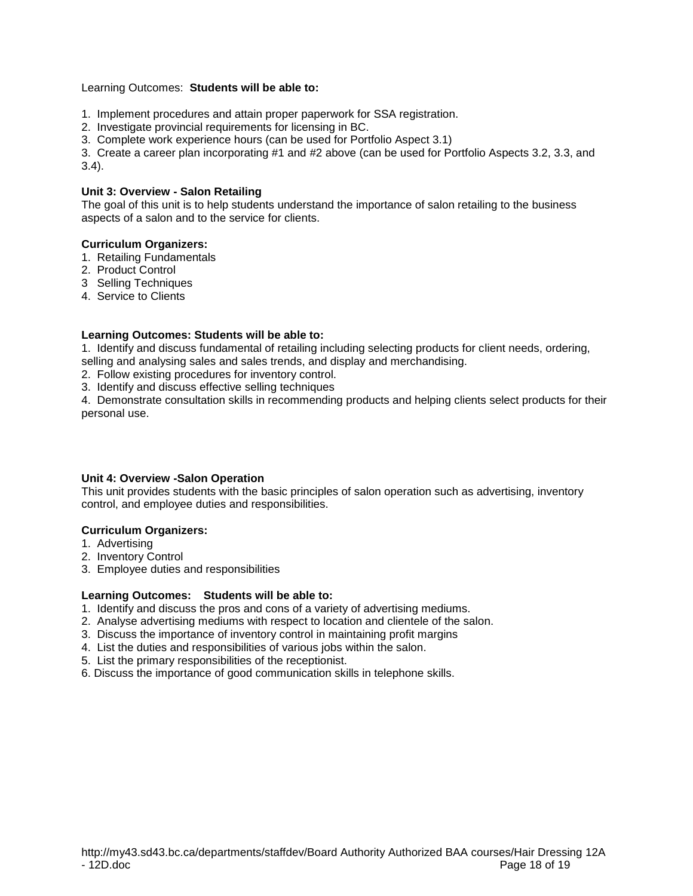## Learning Outcomes: **Students will be able to:**

- 1. Implement procedures and attain proper paperwork for SSA registration.
- 2. Investigate provincial requirements for licensing in BC.
- 3. Complete work experience hours (can be used for Portfolio Aspect 3.1)

3. Create a career plan incorporating #1 and #2 above (can be used for Portfolio Aspects 3.2, 3.3, and 3.4).

## **Unit 3: Overview - Salon Retailing**

The goal of this unit is to help students understand the importance of salon retailing to the business aspects of a salon and to the service for clients.

## **Curriculum Organizers:**

- 1. Retailing Fundamentals
- 2. Product Control
- 3 Selling Techniques
- 4. Service to Clients

# **Learning Outcomes: Students will be able to:**

1. Identify and discuss fundamental of retailing including selecting products for client needs, ordering, selling and analysing sales and sales trends, and display and merchandising.

- 2. Follow existing procedures for inventory control.
- 3. Identify and discuss effective selling techniques

4. Demonstrate consultation skills in recommending products and helping clients select products for their personal use.

# **Unit 4: Overview -Salon Operation**

This unit provides students with the basic principles of salon operation such as advertising, inventory control, and employee duties and responsibilities.

# **Curriculum Organizers:**

- 1. Advertising
- 2. Inventory Control
- 3. Employee duties and responsibilities

#### **Learning Outcomes: Students will be able to:**

- 1. Identify and discuss the pros and cons of a variety of advertising mediums.
- 2. Analyse advertising mediums with respect to location and clientele of the salon.
- 3. Discuss the importance of inventory control in maintaining profit margins
- 4. List the duties and responsibilities of various jobs within the salon.
- 5. List the primary responsibilities of the receptionist.
- 6. Discuss the importance of good communication skills in telephone skills.